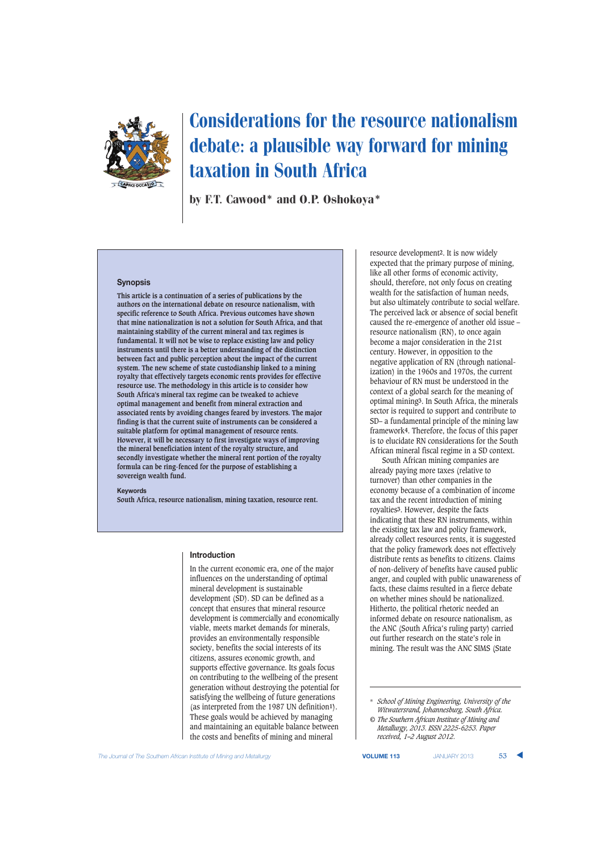

# Considerations for the resource nationalism debate: a plausible way forward for mining taxation in South Africa

by F.T. Cawood\* and O.P. Oshokoya\*

#### **Synopsis**

**This article is a continuation of a series of publications by the authors on the international debate on resource nationalism, with specific reference to South Africa. Previous outcomes have shown that mine nationalization is not a solution for South Africa, and that maintaining stability of the current mineral and tax regimes is fundamental. It will not be wise to replace existing law and policy instruments until there is a better understanding of the distinction between fact and public perception about the impact of the current system. The new scheme of state custodianship linked to a mining royalty that effectively targets economic rents provides for effective resource use. The methodology in this article is to consider how South Africa's mineral tax regime can be tweaked to achieve optimal management and benefit from mineral extraction and associated rents by avoiding changes feared by investors. The major finding is that the current suite of instruments can be considered a suitable platform for optimal management of resource rents. However, it will be necessary to first investigate ways of improving the mineral beneficiation intent of the royalty structure, and secondly investigate whether the mineral rent portion of the royalty formula can be ring-fenced for the purpose of establishing a sovereign wealth fund.**

#### **Keywords**

**South Africa, resource nationalism, mining taxation, resource rent.**

#### **Introduction**

In the current economic era, one of the major influences on the understanding of optimal mineral development is sustainable development (SD). SD can be defined as a concept that ensures that mineral resource development is commercially and economically viable, meets market demands for minerals, provides an environmentally responsible society, benefits the social interests of its citizens, assures economic growth, and supports effective governance. Its goals focus on contributing to the wellbeing of the present generation without destroying the potential for satisfying the wellbeing of future generations (as interpreted from the 1987 UN definition**1**). These goals would be achieved by managing and maintaining an equitable balance between the costs and benefits of mining and mineral

resource development**2**. It is now widely expected that the primary purpose of mining, like all other forms of economic activity, should, therefore, not only focus on creating wealth for the satisfaction of human needs, but also ultimately contribute to social welfare. The perceived lack or absence of social benefit caused the re-emergence of another old issue – resource nationalism (RN), to once again become a major consideration in the 21st century. However, in opposition to the negative application of RN (through nationalization) in the 1960s and 1970s, the current behaviour of RN must be understood in the context of a global search for the meaning of optimal mining**3**. In South Africa, the minerals sector is required to support and contribute to SD– a fundamental principle of the mining law framework**4**. Therefore, the focus of this paper is to elucidate RN considerations for the South African mineral fiscal regime in a SD context.

South African mining companies are already paying more taxes (relative to turnover) than other companies in the economy because of a combination of income tax and the recent introduction of mining royalties**3**. However, despite the facts indicating that these RN instruments, within the existing tax law and policy framework, already collect resources rents, it is suggested that the policy framework does not effectively distribute rents as benefits to citizens. Claims of non-delivery of benefits have caused public anger, and coupled with public unawareness of facts, these claims resulted in a fierce debate on whether mines should be nationalized. Hitherto, the political rhetoric needed an informed debate on resource nationalism, as the ANC (South Africa's ruling party) carried out further research on the state's role in mining. The result was the ANC SIMS (State

<sup>\*</sup> *School of Mining Engineering, University of the Witwatersrand, Johannesburg, South Africa.*

*<sup>©</sup> The Southern African Institute of Mining and Metallurgy, 2013. ISSN 2225-6253. Paper received, 1–2 August 2012.*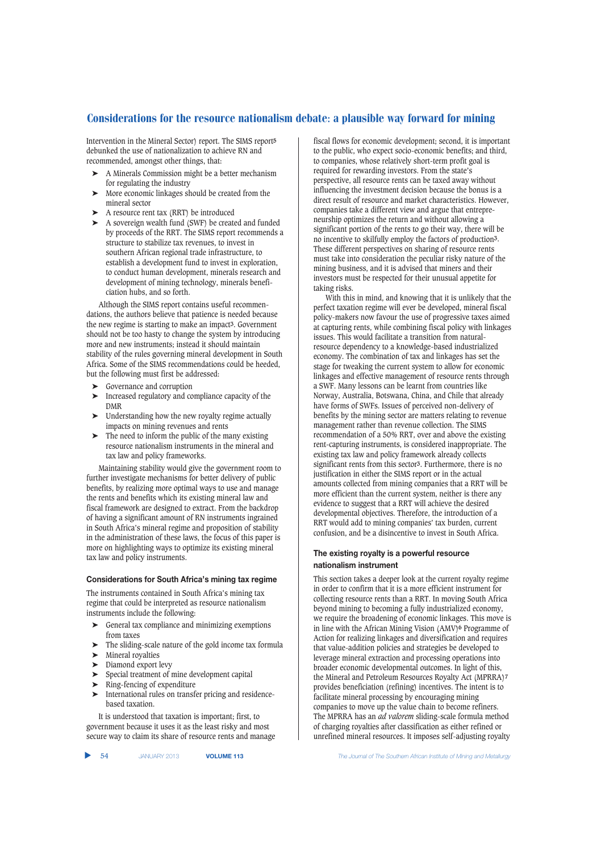Intervention in the Mineral Sector) report. The SIMS report**5** debunked the use of nationalization to achieve RN and recommended, amongst other things, that:

- ➤ A Minerals Commission might be a better mechanism for regulating the industry
- ➤ More economic linkages should be created from the mineral sector
- ➤ A resource rent tax (RRT) be introduced
- ➤ A sovereign wealth fund (SWF) be created and funded by proceeds of the RRT. The SIMS report recommends a structure to stabilize tax revenues, to invest in southern African regional trade infrastructure, to establish a development fund to invest in exploration, to conduct human development, minerals research and development of mining technology, minerals beneficiation hubs, and so forth.

Although the SIMS report contains useful recommendations, the authors believe that patience is needed because the new regime is starting to make an impact**3**. Government should not be too hasty to change the system by introducing more and new instruments; instead it should maintain stability of the rules governing mineral development in South Africa. Some of the SIMS recommendations could be heeded, but the following must first be addressed:

- ➤ Governance and corruption
- ➤ Increased regulatory and compliance capacity of the DMR
- ➤ Understanding how the new royalty regime actually impacts on mining revenues and rents
- $\blacktriangleright$  The need to inform the public of the many existing resource nationalism instruments in the mineral and tax law and policy frameworks.

Maintaining stability would give the government room to further investigate mechanisms for better delivery of public benefits, by realizing more optimal ways to use and manage the rents and benefits which its existing mineral law and fiscal framework are designed to extract. From the backdrop of having a significant amount of RN instruments ingrained in South Africa's mineral regime and proposition of stability in the administration of these laws, the focus of this paper is more on highlighting ways to optimize its existing mineral tax law and policy instruments.

#### **Considerations for South Africa's mining tax regime**

The instruments contained in South Africa's mining tax regime that could be interpreted as resource nationalism instruments include the following:

- $\blacktriangleright$  General tax compliance and minimizing exemptions from taxes
- ➤ The sliding-scale nature of the gold income tax formula
- ➤ Mineral royalties
- ➤ Diamond export levy
- ➤ Special treatment of mine development capital
- ➤ Ring-fencing of expenditure
- ➤ International rules on transfer pricing and residencebased taxation.

It is understood that taxation is important; first, to government because it uses it as the least risky and most secure way to claim its share of resource rents and manage fiscal flows for economic development; second, it is important to the public, who expect socio-economic benefits; and third, to companies, whose relatively short-term profit goal is required for rewarding investors. From the state's perspective, all resource rents can be taxed away without influencing the investment decision because the bonus is a direct result of resource and market characteristics. However, companies take a different view and argue that entrepreneurship optimizes the return and without allowing a significant portion of the rents to go their way, there will be no incentive to skilfully employ the factors of production**3**. These different perspectives on sharing of resource rents must take into consideration the peculiar risky nature of the mining business, and it is advised that miners and their investors must be respected for their unusual appetite for taking risks.

With this in mind, and knowing that it is unlikely that the perfect taxation regime will ever be developed, mineral fiscal policy-makers now favour the use of progressive taxes aimed at capturing rents, while combining fiscal policy with linkages issues. This would facilitate a transition from naturalresource dependency to a knowledge-based industrialized economy. The combination of tax and linkages has set the stage for tweaking the current system to allow for economic linkages and effective management of resource rents through a SWF. Many lessons can be learnt from countries like Norway, Australia, Botswana, China, and Chile that already have forms of SWFs. Issues of perceived non-delivery of benefits by the mining sector are matters relating to revenue management rather than revenue collection. The SIMS recommendation of a 50% RRT, over and above the existing rent-capturing instruments, is considered inappropriate. The existing tax law and policy framework already collects significant rents from this sector**3**. Furthermore, there is no justification in either the SIMS report or in the actual amounts collected from mining companies that a RRT will be more efficient than the current system, neither is there any evidence to suggest that a RRT will achieve the desired developmental objectives. Therefore, the introduction of a RRT would add to mining companies' tax burden, current confusion, and be a disincentive to invest in South Africa.

## **The existing royalty is a powerful resource nationalism instrument**

This section takes a deeper look at the current royalty regime in order to confirm that it is a more efficient instrument for collecting resource rents than a RRT. In moving South Africa beyond mining to becoming a fully industrialized economy, we require the broadening of economic linkages. This move is in line with the African Mining Vision (AMV)**6** Programme of Action for realizing linkages and diversification and requires that value-addition policies and strategies be developed to leverage mineral extraction and processing operations into broader economic developmental outcomes. In light of this, the Mineral and Petroleum Resources Royalty Act (MPRRA)**7** provides beneficiation (refining) incentives. The intent is to facilitate mineral processing by encouraging mining companies to move up the value chain to become refiners. The MPRRA has an *ad valorem* sliding-scale formula method of charging royalties after classification as either refined or unrefined mineral resources. It imposes self-adjusting royalty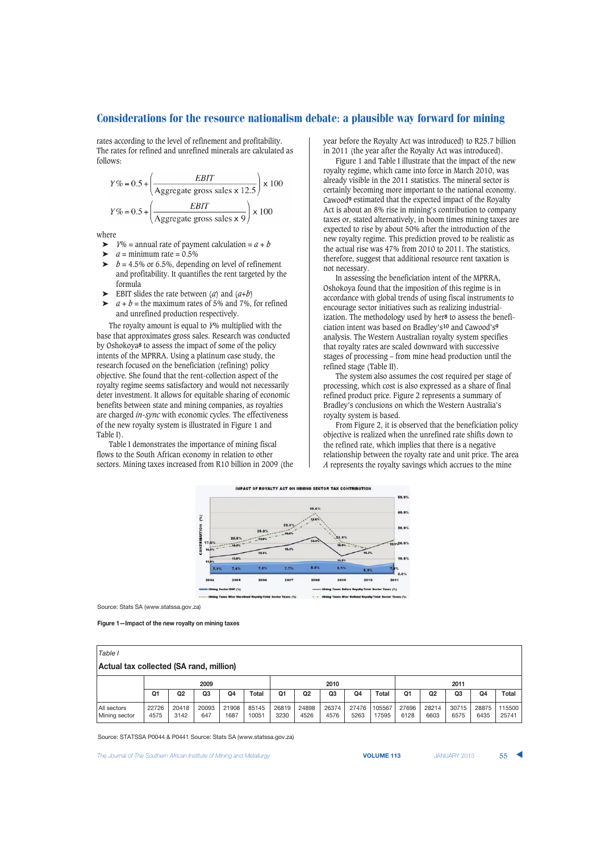rates according to the level of refinement and profitability. The rates for refined and unrefined minerals are calculated as follows:

$$
Y\% = 0.5 + \left(\frac{EBIT}{\text{Aggregate gross sales} \times 12.5}\right) \times 100
$$

$$
Y\% = 0.5 + \left(\frac{EBIT}{\text{Aggregate gross sales} \times 9}\right) \times 100
$$

where

 $\triangleright$  *Y*% = annual rate of payment calculation =  $a + b$ 

- $\triangleright$  *a* = minimum rate = 0.5%
- $\triangleright$  *b* = 4.5% or 6.5%, depending on level of refinement and profitability. It quantifies the rent targeted by the formula
- $\blacktriangleright$  EBIT slides the rate between (*a*) and (*a+b*)
- $a + b$  = the maximum rates of 5% and 7%, for refined and unrefined production respectively.

The royalty amount is equal to *Y*% multiplied with the base that approximates gross sales. Research was conducted by Oshokoya**8** to assess the impact of some of the policy intents of the MPRRA. Using a platinum case study, the research focused on the beneficiation (refining) policy objective. She found that the rent-collection aspect of the royalty regime seems satisfactory and would not necessarily deter investment. It allows for equitable sharing of economic benefits between state and mining companies, as royalties are charged *in-sync* with economic cycles. The effectiveness of the new royalty system is illustrated in Figure 1 and Table I).

Table I demonstrates the importance of mining fiscal flows to the South African economy in relation to other sectors. Mining taxes increased from R10 billion in 2009 (the year before the Royalty Act was introduced) to R25.7 billion in 2011 (the year after the Royalty Act was introduced).

Figure 1 and Table I illustrate that the impact of the new royalty regime, which came into force in March 2010, was already visible in the 2011 statistics. The mineral sector is certainly becoming more important to the national economy. Cawood**9** estimated that the expected impact of the Royalty Act is about an 8% rise in mining's contribution to company taxes or, stated alternatively, in boom times mining taxes are expected to rise by about 50% after the introduction of the new royalty regime. This prediction proved to be realistic as the actual rise was 47% from 2010 to 2011. The statistics, therefore, suggest that additional resource rent taxation is not necessary.

In assessing the beneficiation intent of the MPRRA, Oshokoya found that the imposition of this regime is in accordance with global trends of using fiscal instruments to encourage sector initiatives such as realizing industrialization. The methodology used by her**8** to assess the beneficiation intent was based on Bradley's**10** and Cawood's**9** analysis. The Western Australian royalty system specifies that royalty rates are scaled downward with successive stages of processing – from mine head production until the refined stage (Table II).

The system also assumes the cost required per stage of processing, which cost is also expressed as a share of final refined product price. Figure 2 represents a summary of Bradley's conclusions on which the Western Australia's royalty system is based.

From Figure 2, it is observed that the beneficiation policy objective is realized when the unrefined rate shifts down to the refined rate, which implies that there is a negative relationship between the royalty rate and unit price. The area *A* represents the royalty savings which accrues to the mine



Source: Stats SA (www.statssa.gov.za)

**Figure 1—Impact of the new royalty on mining taxes**

| Table I                                 |               |                |                |               |                |               |                |               |               |                 |               |                |                |               |                 |
|-----------------------------------------|---------------|----------------|----------------|---------------|----------------|---------------|----------------|---------------|---------------|-----------------|---------------|----------------|----------------|---------------|-----------------|
| Actual tax collected (SA rand, million) |               |                |                |               |                |               |                |               |               |                 |               |                |                |               |                 |
|                                         | 2009          |                |                |               | 2010           |               |                |               | 2011          |                 |               |                |                |               |                 |
|                                         | Q1            | Q <sub>2</sub> | Q <sub>3</sub> | Q4            | <b>Total</b>   | Q1            | Q <sub>2</sub> | Q3            | Q4            | Total           | Q1            | Q <sub>2</sub> | Q <sub>3</sub> | Q4            | Total           |
| All sectors<br>Mining sector            | 22726<br>4575 | 20418<br>3142  | 20093<br>647   | 21908<br>1687 | 85145<br>10051 | 26819<br>3230 | 24898<br>4526  | 26374<br>4576 | 27476<br>5263 | 105567<br>17595 | 27696<br>6128 | 28214<br>6603  | 30715<br>6575  | 28875<br>6435 | 115500<br>25741 |

Source: STATSSA P0044 & P0441 Source: Stats SA (www.statssa.gov.za)

**The Journal of The Southern African Institute of Mining and Metallurgy <b>Victor Collection Control Control Control VOLUME 113** JANUARY 2013 **55**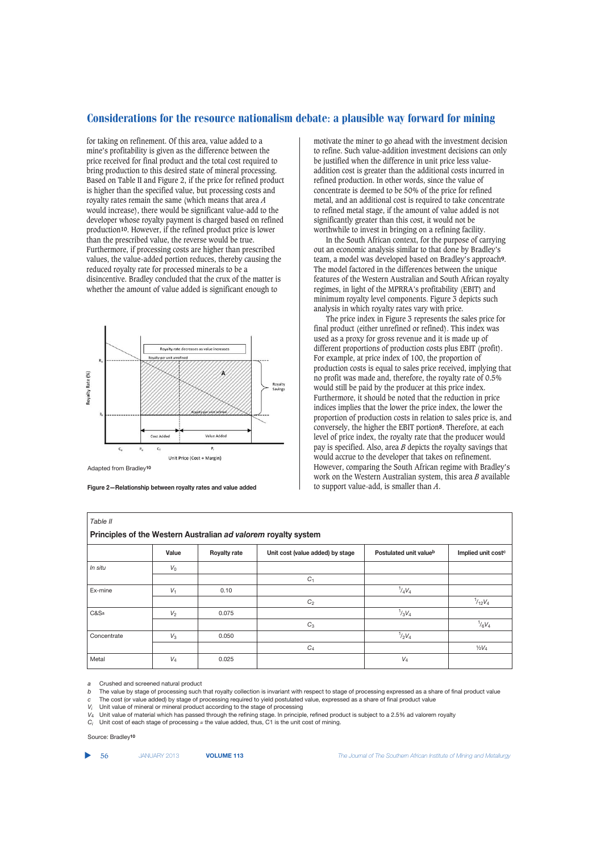for taking on refinement. Of this area, value added to a mine's profitability is given as the difference between the price received for final product and the total cost required to bring production to this desired state of mineral processing. Based on Table II and Figure 2, if the price for refined product is higher than the specified value, but processing costs and royalty rates remain the same (which means that area *A* would increase), there would be significant value-add to the developer whose royalty payment is charged based on refined production**10**. However, if the refined product price is lower than the prescribed value, the reverse would be true. Furthermore, if processing costs are higher than prescribed values, the value-added portion reduces, thereby causing the reduced royalty rate for processed minerals to be a disincentive. Bradley concluded that the crux of the matter is whether the amount of value added is significant enough to



Adapted from Bradley**10**

**Figure 2—Relationship between royalty rates and value added**

motivate the miner to go ahead with the investment decision to refine. Such value-addition investment decisions can only be justified when the difference in unit price less valueaddition cost is greater than the additional costs incurred in refined production. In other words, since the value of concentrate is deemed to be 50% of the price for refined metal, and an additional cost is required to take concentrate to refined metal stage, if the amount of value added is not significantly greater than this cost, it would not be worthwhile to invest in bringing on a refining facility.

In the South African context, for the purpose of carrying out an economic analysis similar to that done by Bradley's team, a model was developed based on Bradley's approach**9**. The model factored in the differences between the unique features of the Western Australian and South African royalty regimes, in light of the MPRRA's profitability (EBIT) and minimum royalty level components. Figure 3 depicts such analysis in which royalty rates vary with price.

The price index in Figure 3 represents the sales price for final product (either unrefined or refined). This index was used as a proxy for gross revenue and it is made up of different proportions of production costs plus EBIT (profit). For example, at price index of 100, the proportion of production costs is equal to sales price received, implying that no profit was made and, therefore, the royalty rate of 0.5% would still be paid by the producer at this price index. Furthermore, it should be noted that the reduction in price indices implies that the lower the price index, the lower the proportion of production costs in relation to sales price is, and conversely, the higher the EBIT portion**8**. Therefore, at each level of price index, the royalty rate that the producer would pay is specified. Also, area *B* depicts the royalty savings that would accrue to the developer that takes on refinement. However, comparing the South African regime with Bradley's work on the Western Australian system, this area *B* available to support value-add, is smaller than *A*.

| Table II                                                       |                |                     |                                  |                        |                                |  |  |  |
|----------------------------------------------------------------|----------------|---------------------|----------------------------------|------------------------|--------------------------------|--|--|--|
| Principles of the Western Australian ad valorem royalty system |                |                     |                                  |                        |                                |  |  |  |
|                                                                | Value          | <b>Royalty rate</b> | Unit cost (value added) by stage | Postulated unit valueb | Implied unit cost <sup>c</sup> |  |  |  |
| In situ                                                        | $V_0$          |                     |                                  |                        |                                |  |  |  |
|                                                                |                |                     | $C_1$                            |                        |                                |  |  |  |
| Ex-mine                                                        | V <sub>1</sub> | 0.10                |                                  | $^{1}/_{4}V_{4}$       |                                |  |  |  |
|                                                                |                |                     | C <sub>2</sub>                   |                        | $^{1}/_{12}V_4$                |  |  |  |
| C&Sa                                                           | $V_2$          | 0.075               |                                  | $^{1}/_{3}V_{4}$       |                                |  |  |  |
|                                                                |                |                     | $C_3$                            |                        | $^{1}/_{6}V_{4}$               |  |  |  |
| Concentrate                                                    | $V_3$          | 0.050               |                                  | $^{1}/_{2}V_{4}$       |                                |  |  |  |
|                                                                |                |                     | $C_4$                            |                        | $1/2V_4$                       |  |  |  |
| Metal                                                          | $V_4$          | 0.025               |                                  | $V_4$                  |                                |  |  |  |

*a* Crushed and screened natural product

*b* The value by stage of processing such that royalty collection is invariant with respect to stage of processing expressed as a share of final product value

- *c* The cost (or value added) by stage of processing required to yield postulated value, expressed as a share of final product value
- *V<sub>i</sub>* Unit value of mineral or mineral product according to the stage of processing *V<sub>i</sub>* Unit value of material which has passed through the refining stage. In principle

 $V_4$  Unit value of material which has passed through the refining stage. In principle, refined product is subject to a 2.5% ad valorem royalty  $C_i$  Unit cost of each stage of processing  $\approx$  the value added. thus, C1 is

*Ci* Unit cost of each stage of processing *≈* the value added, thus, C1 is the unit cost of mining.

#### Source: Bradley**10**

56 JANUARY 2013 **VOLUME 113** *The Journal of The Southern African Institute of Mining and Metallurgy*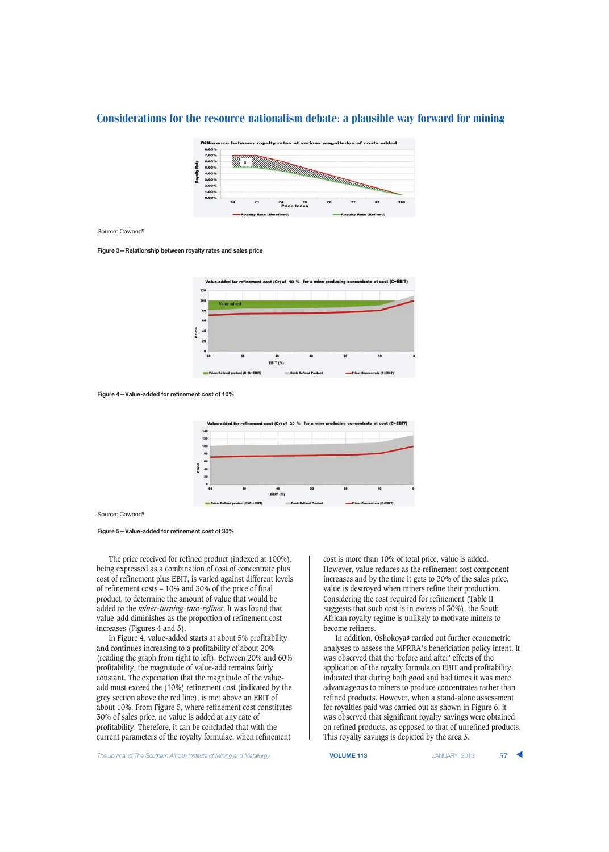

Source: Cawood**9**

**Figure 3—Relationship between royalty rates and sales price**



**Figure 4—Value-added for refinement cost of 10%**



Source: Cawood**9**

**Figure 5—Value-added for refinement cost of 30%**

The price received for refined product (indexed at 100%), being expressed as a combination of cost of concentrate plus cost of refinement plus EBIT, is varied against different levels of refinement costs – 10% and 30% of the price of final product, to determine the amount of value that would be added to the *miner-turning-into-refiner*. It was found that value-add diminishes as the proportion of refinement cost increases (Figures 4 and 5).

In Figure 4, value-added starts at about 5% profitability and continues increasing to a profitability of about 20% (reading the graph from right to left). Between 20% and 60% profitability, the magnitude of value-add remains fairly constant. The expectation that the magnitude of the valueadd must exceed the (10%) refinement cost (indicated by the grey section above the red line), is met above an EBIT of about 10%. From Figure 5, where refinement cost constitutes 30% of sales price, no value is added at any rate of profitability. Therefore, it can be concluded that with the current parameters of the royalty formulae, when refinement

cost is more than 10% of total price, value is added. However, value reduces as the refinement cost component increases and by the time it gets to 30% of the sales price, value is destroyed when miners refine their production. Considering the cost required for refinement (Table II suggests that such cost is in excess of 30%), the South African royalty regime is unlikely to motivate miners to become refiners.

In addition, Oshokoya**8** carried out further econometric analyses to assess the MPRRA's beneficiation policy intent. It was observed that the 'before and after' effects of the application of the royalty formula on EBIT and profitability, indicated that during both good and bad times it was more advantageous to miners to produce concentrates rather than refined products. However, when a stand-alone assessment for royalties paid was carried out as shown in Figure 6, it was observed that significant royalty savings were obtained on refined products, as opposed to that of unrefined products. This royalty savings is depicted by the area *S*.

**The Journal of The Southern African Institute of Mining and Metallurgy <b>VOLUME 113 VOLUME 113** JANUARY 2013 57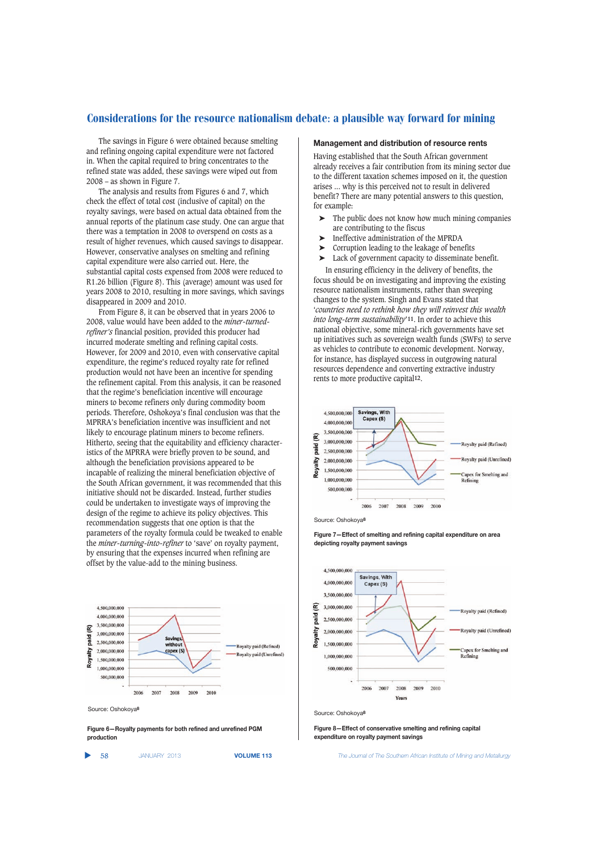The savings in Figure 6 were obtained because smelting and refining ongoing capital expenditure were not factored in. When the capital required to bring concentrates to the refined state was added, these savings were wiped out from 2008 – as shown in Figure 7.

The analysis and results from Figures 6 and 7, which check the effect of total cost (inclusive of capital) on the royalty savings, were based on actual data obtained from the annual reports of the platinum case study. One can argue that there was a temptation in 2008 to overspend on costs as a result of higher revenues, which caused savings to disappear. However, conservative analyses on smelting and refining capital expenditure were also carried out. Here, the substantial capital costs expensed from 2008 were reduced to R1.26 billion (Figure 8). This (average) amount was used for years 2008 to 2010, resulting in more savings, which savings disappeared in 2009 and 2010.

From Figure 8, it can be observed that in years 2006 to 2008, value would have been added to the *miner-turnedrefiner's* financial position, provided this producer had incurred moderate smelting and refining capital costs. However, for 2009 and 2010, even with conservative capital expenditure, the regime's reduced royalty rate for refined production would not have been an incentive for spending the refinement capital. From this analysis, it can be reasoned that the regime's beneficiation incentive will encourage miners to become refiners only during commodity boom periods. Therefore, Oshokoya's final conclusion was that the MPRRA's beneficiation incentive was insufficient and not likely to encourage platinum miners to become refiners. Hitherto, seeing that the equitability and efficiency characteristics of the MPRRA were briefly proven to be sound, and although the beneficiation provisions appeared to be incapable of realizing the mineral beneficiation objective of the South African government, it was recommended that this initiative should not be discarded. Instead, further studies could be undertaken to investigate ways of improving the design of the regime to achieve its policy objectives. This recommendation suggests that one option is that the parameters of the royalty formula could be tweaked to enable the *miner-turning-into-refiner* to 'save' on royalty payment, by ensuring that the expenses incurred when refining are offset by the value-add to the mining business.



Source: Oshokoya**8**

**Figure 6—Royalty payments for both refined and unrefined PGM production**

▲

### **Management and distribution of resource rents**

Having established that the South African government already receives a fair contribution from its mining sector due to the different taxation schemes imposed on it, the question arises ... why is this perceived not to result in delivered benefit? There are many potential answers to this question, for example:

- The public does not know how much mining companies are contributing to the fiscus
- ➤ Ineffective administration of the MPRDA
- ➤ Corruption leading to the leakage of benefits
- ➤ Lack of government capacity to disseminate benefit. In ensuring efficiency in the delivery of benefits, the

focus should be on investigating and improving the existing resource nationalism instruments, rather than sweeping changes to the system. Singh and Evans stated that '*countries need to rethink how they will reinvest this wealth into long-term sustainability*'**11**. In order to achieve this national objective, some mineral-rich governments have set up initiatives such as sovereign wealth funds (SWFs) to serve as vehicles to contribute to economic development. Norway, for instance, has displayed success in outgrowing natural resources dependence and converting extractive industry rents to more productive capital**12**.



Source: Oshokoya**8**

**Figure 7—Effect of smelting and refining capital expenditure on area depicting royalty payment savings**



Source: Oshokoya**8**

**Figure 8—Effect of conservative smelting and refining capital expenditure on royalty payment savings**

58 JANUARY 2013 **VOLUME 113** *The Journal of The Southern African Institute of Mining and Metallurgy*